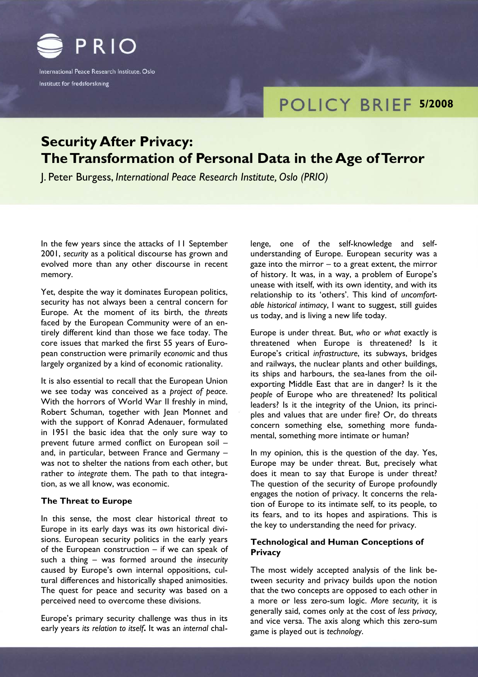

International Peace Research Institute, Oslo Institutt for fredsforskning

# **FOLICY BRIEF 5/2008**

# **Security After Privacy: The Transformation of Personal Data in the Age of Terror**

J. Peter Burgess, *International Peace Research Institute, Oslo (PRIO)*

In the few years since the attacks of 11 September 2001, *security* as a political discourse has grown and evolved more than any other discourse in recent memory.

Yet, despite the way it dominates European politics, security has not always been a central concern for Europe. At the moment of its birth, the *threats* faced by the European Community were of an entirely different kind than those we face today. The core issues that marked the first 55 years of European construction were primarily *economic* and thus largely organized by a kind of economic rationality.

It is also essential to recall that the European Union we see today was conceived as a *project of peace*. With the horrors of World War II freshly in mind, Robert Schuman, together with Jean Monnet and with the support of Konrad Adenauer, formulated in 1951 the basic idea that the only sure way to prevent future armed conflict on European soil – and, in particular, between France and Germany – was not to shelter the nations from each other, but rather to *integrate* them. The path to that integration, as we all know, was economic.

#### **The Threat to Europe**

In this sense, the most clear historical *threat* to Europe in its early days was its *own* historical divisions. European security politics in the early years of the European construction – if we can speak of such a thing – was formed around the *insecurity*  caused by Europe's own internal oppositions, cultural differences and historically shaped animosities. The quest for peace and security was based on a perceived need to overcome these divisions.

Europe's primary security challenge was thus in its early years *its relation to itself***.** It was an *internal* challenge, one of the self-knowledge and selfunderstanding of Europe. European security was a gaze into the mirror – to a great extent, the mirror of history. It was, in a way, a problem of Europe's unease with itself, with its own identity, and with its relationship to its 'others'. This kind of *uncomfortable historical intimacy*, I want to suggest, still guides us today, and is living a new life today.

Europe is under threat. But, *who* or *what* exactly is threatened when Europe is threatened? Is it Europe's critical *infrastructure*, its subways, bridges and railways, the nuclear plants and other buildings, its ships and harbours, the sea-lanes from the oilexporting Middle East that are in danger? Is it the *people* of Europe who are threatened? Its political leaders? Is it the integrity of the Union, its principles and values that are under fire? Or, do threats concern something else, something more fundamental, something more intimate or human?

In my opinion, this is the question of the day. Yes, Europe may be under threat. But, precisely what does it mean to say that Europe is under threat? The question of the security of Europe profoundly engages the notion of privacy. It concerns the relation of Europe to its intimate self, to its people, to its fears, and to its hopes and aspirations. This is the key to understanding the need for privacy.

## **Technological and Human Conceptions of Privacy**

The most widely accepted analysis of the link between security and privacy builds upon the notion that the two concepts are opposed to each other in a more or less zero-sum logic. *More security,* it is generally said, comes only at the cost of *less privacy,* and vice versa. The axis along which this zero-sum game is played out is *technology*.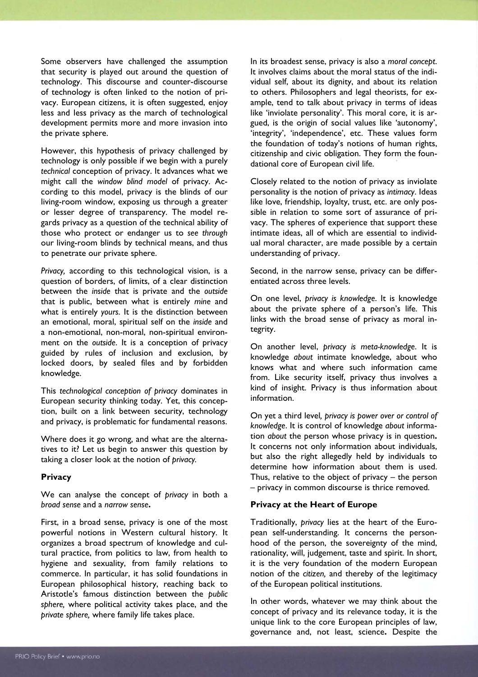Some observers have challenged the assumption that security is played out around the question of technology. This discourse and counter-discourse of technology is often linked to the notion of privacy. European citizens, it is often suggested, enjoy less and less privacy as the march of technological development permits more and more invasion into the private sphere.

However, this hypothesis of privacy challenged by technology is only possible if we begin with a purely *technical* conception of privacy. It advances what we might call the *window blind model* of privacy. According to this model, privacy is the blinds of our living-room window, exposing us through a greater or lesser degree of transparency. The model regards privacy as a question of the technical ability of those who protect or endanger us to *see through* our living-room blinds by technical means, and thus to penetrate our private sphere.

*Privacy,* according to this technological vision, is a question of borders, of limits, of a clear distinction between the *inside* that is private and the *outside* that is public, between what is entirely *mine* and what is entirely *yours*. It is the distinction between an emotional, moral, spiritual self on the *inside* and a non-emotional, non-moral, non-spiritual environment on the *outside*. It is a conception of privacy guided by rules of inclusion and exclusion, by locked doors, by sealed files and by forbidden knowledge.

This *technological conception of privacy* dominates in European security thinking today. Yet, this conception, built on a link between security, technology and privacy, is problematic for fundamental reasons.

Where does it go wrong, and what are the alternatives to it? Let us begin to answer this question by taking a closer look at the notion of *privacy.*

#### **Privacy**

We can analyse the concept of *privacy* in both a *broad sense* and a *narrow sense***.** 

First, in a broad sense, privacy is one of the most powerful notions in Western cultural history. It organizes a broad spectrum of knowledge and cultural practice, from politics to law, from health to hygiene and sexuality, from family relations to commerce. In particular, it has solid foundations in European philosophical history, reaching back to Aristotle's famous distinction between the *public sphere,* where political activity takes place, and the *private sphere,* where family life takes place.

In its broadest sense, privacy is also a *moral concept*. It involves claims about the moral status of the individual self, about its dignity, and about its relation to others. Philosophers and legal theorists, for example, tend to talk about privacy in terms of ideas like 'inviolate personality'. This moral core, it is argued, is the origin of social values like 'autonomy', 'integrity', 'independence', etc. These values form the foundation of today's notions of human rights, citizenship and civic obligation. They form the foundational core of European civil life.

Closely related to the notion of privacy as inviolate personality is the notion of privacy as *intimacy*. Ideas like love, friendship, loyalty, trust, etc. are only possible in relation to some sort of assurance of privacy. The spheres of experience that support these intimate ideas, all of which are essential to individual moral character, are made possible by a certain understanding of privacy.

Second, in the narrow sense, privacy can be differentiated across three levels.

On one level, *privacy is knowledge*. It is knowledge about the private sphere of a person's life. This links with the broad sense of privacy as moral integrity.

On another level, *privacy is meta-knowledge*. It is knowledge *about* intimate knowledge, about who knows what and where such information came from. Like security itself, privacy thus involves a kind of insight. Privacy is thus information about information.

On yet a third level*, privacy is power over or control of knowledge*. It is control of knowledge *about* information *about* the person whose privacy is in question**.**  It concerns not only information about individuals, but also the right allegedly held by individuals to determine how information about them is used. Thus, relative to the object of privacy – the person – privacy in common discourse is thrice removed.

#### **Privacy at the Heart of Europe**

Traditionally, *privacy* lies at the heart of the European self-understanding. It concerns the personhood of the person, the sovereignty of the mind, rationality, will, judgement, taste and spirit. In short, it is the very foundation of the modern European notion of the *citizen,* and thereby of the legitimacy of the European political institutions.

In other words, whatever we may think about the concept of privacy and its relevance today, it is the unique link to the core European principles of law, governance and, not least, science**.** Despite the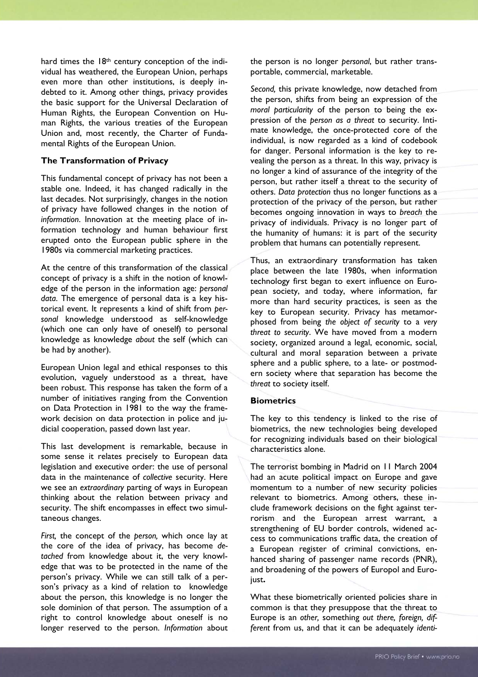hard times the 18<sup>th</sup> century conception of the individual has weathered, the European Union, perhaps even more than other institutions, is deeply indebted to it. Among other things, privacy provides the basic support for the Universal Declaration of Human Rights, the European Convention on Human Rights, the various treaties of the European Union and, most recently, the Charter of Fundamental Rights of the European Union.

#### **The Transformation of Privacy**

This fundamental concept of privacy has not been a stable one. Indeed, it has changed radically in the last decades. Not surprisingly, changes in the notion of privacy have followed changes in the notion of *information*. Innovation at the meeting place of information technology and human behaviour first erupted onto the European public sphere in the 1980s via commercial marketing practices.

At the centre of this transformation of the classical concept of privacy is a shift in the notion of knowledge of the person in the information age: *personal data*. The emergence of personal data is a key historical event. It represents a kind of shift from *personal* knowledge understood as self-knowledge (which one can only have of oneself) to personal knowledge as knowledge *about* the self (which can be had by another).

European Union legal and ethical responses to this evolution, vaguely understood as a threat, have been robust. This response has taken the form of a number of initiatives ranging from the Convention on Data Protection in 1981 to the way the framework decision on data protection in police and judicial cooperation, passed down last year.

This last development is remarkable, because in some sense it relates precisely to European data legislation and executive order: the use of personal data in the maintenance of *collective* security. Here we see an *extraordinary* parting of ways in European thinking about the relation between privacy and security. The shift encompasses in effect two simultaneous changes.

*First,* the concept of the *person,* which once lay at the core of the idea of privacy, has become *detached* from knowledge about it, the very knowledge that was to be protected in the name of the person's privacy. While we can still talk of a person's privacy as a kind of relation to knowledge about the person, this knowledge is no longer the sole dominion of that person. The assumption of a right to control knowledge about oneself is no longer reserved to the person. *Information* about the person is no longer *personal*, but rather transportable, commercial, marketable.

*Second,* this private knowledge, now detached from the person, shifts from being an expression of the *moral particularity* of the person to being the expression of the *person as a threat* to security. Intimate knowledge, the once-protected core of the individual, is now regarded as a kind of codebook for danger. Personal information is the key to revealing the person as a threat. In this way, privacy is no longer a kind of assurance of the integrity of the person, but rather itself a threat to the security of others. *Data protection* thus no longer functions as a protection of the privacy of the person, but rather becomes ongoing innovation in ways to *breach* the privacy of individuals. Privacy is no longer part of the humanity of humans: it is part of the security problem that humans can potentially represent.

Thus, an extraordinary transformation has taken place between the late 1980s, when information technology first began to exert influence on European society, and today, where information, far more than hard security practices, is seen as the key to European security. Privacy has metamorphosed from being *the object of security* to a *very threat to security*. We have moved from a modern society, organized around a legal, economic, social, cultural and moral separation between a private sphere and a public sphere, to a late- or postmodern society where that separation has become the *threat* to society itself.

#### **Biometrics**

The key to this tendency is linked to the rise of biometrics, the new technologies being developed for recognizing individuals based on their biological characteristics alone.

The terrorist bombing in Madrid on 11 March 2004 had an acute political impact on Europe and gave momentum to a number of new security policies relevant to biometrics. Among others, these include framework decisions on the fight against terrorism and the European arrest warrant, a strengthening of EU border controls, widened access to communications traffic data, the creation of a European register of criminal convictions, enhanced sharing of passenger name records (PNR), and broadening of the powers of Europol and Eurojust**.**

What these biometrically oriented policies share in common is that they presuppose that the threat to Europe is an *other,* something *out there, foreign, different* from us, and that it can be adequately *identi-*